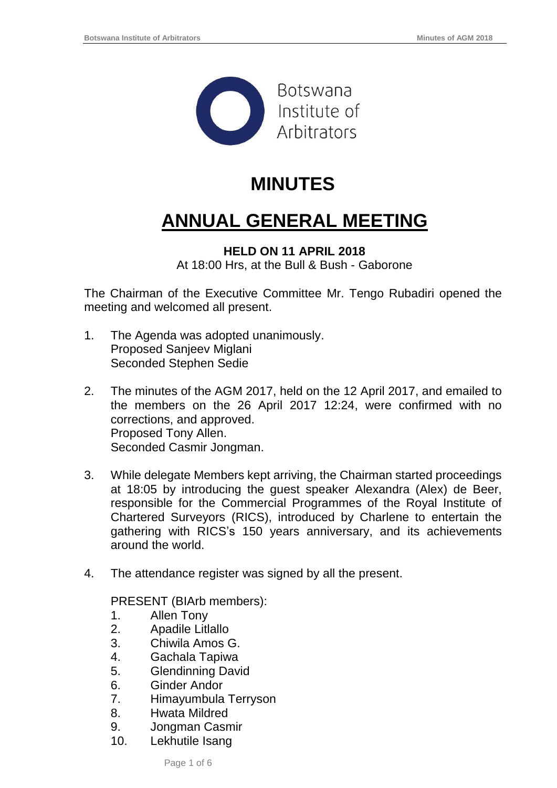

## **MINUTES**

# **ANNUAL GENERAL MEETING**

#### **HELD ON 11 APRIL 2018** At 18:00 Hrs, at the Bull & Bush - Gaborone

The Chairman of the Executive Committee Mr. Tengo Rubadiri opened the meeting and welcomed all present.

- 1. The Agenda was adopted unanimously. Proposed Sanjeev Miglani Seconded Stephen Sedie
- 2. The minutes of the AGM 2017, held on the 12 April 2017, and emailed to the members on the 26 April 2017 12:24, were confirmed with no corrections, and approved. Proposed Tony Allen. Seconded Casmir Jongman.
- 3. While delegate Members kept arriving, the Chairman started proceedings at 18:05 by introducing the guest speaker Alexandra (Alex) de Beer, responsible for the Commercial Programmes of the Royal Institute of Chartered Surveyors (RICS), introduced by Charlene to entertain the gathering with RICS's 150 years anniversary, and its achievements around the world.
- 4. The attendance register was signed by all the present.

PRESENT (BIArb members):

- 1. Allen Tony
- 2. Apadile Litlallo
- 3. Chiwila Amos G.
- 4. Gachala Tapiwa
- 5. Glendinning David
- 6. Ginder Andor
- 7. Himayumbula Terryson
- 8. Hwata Mildred
- 9. Jongman Casmir
- 10. Lekhutile Isang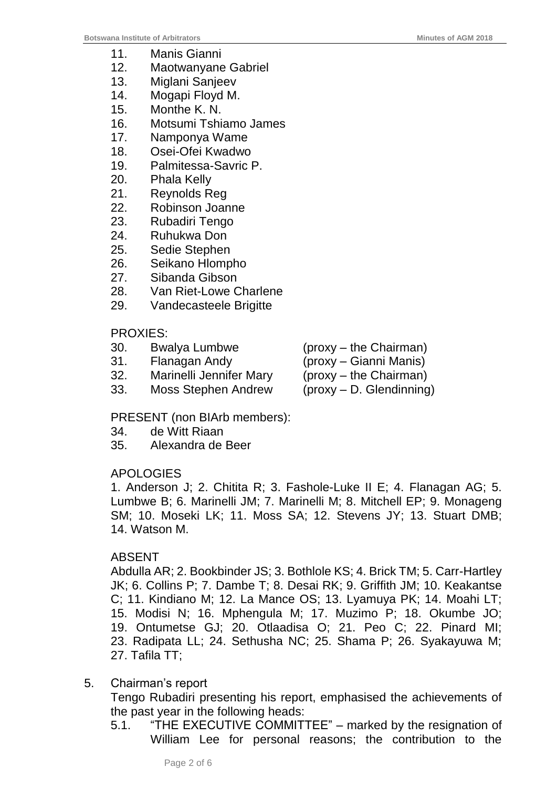- 11. Manis Gianni
- 12. Maotwanyane Gabriel
- 13. Miglani Sanjeev
- 14. Mogapi Floyd M.
- 15. Monthe K. N.
- 16. Motsumi Tshiamo James
- 17. Namponya Wame
- 18. Osei-Ofei Kwadwo
- 19. Palmitessa-Savric P.
- 20. Phala Kelly
- 21. Reynolds Reg
- 22. Robinson Joanne
- 23. Rubadiri Tengo
- 24. Ruhukwa Don
- 25. Sedie Stephen
- 26. Seikano Hlompho
- 27. Sibanda Gibson
- 28. Van Riet-Lowe Charlene
- 29. Vandecasteele Brigitte

### PROXIES:

- 30. Bwalya Lumbwe (proxy the Chairman)
- 31. Flanagan Andy (proxy Gianni Manis)
- 32. Marinelli Jennifer Mary (proxy the Chairman)

- 
- 33. Moss Stephen Andrew (proxy D. Glendinning)
- 

PRESENT (non BIArb members):

- 34. de Witt Riaan
- 35. Alexandra de Beer

## APOLOGIES

1. Anderson J; 2. Chitita R; 3. Fashole-Luke II E; 4. Flanagan AG; 5. Lumbwe B; 6. Marinelli JM; 7. Marinelli M; 8. Mitchell EP; 9. Monageng SM; 10. Moseki LK; 11. Moss SA; 12. Stevens JY; 13. Stuart DMB; 14. Watson M.

## ABSENT

Abdulla AR; 2. Bookbinder JS; 3. Bothlole KS; 4. Brick TM; 5. Carr-Hartley JK; 6. Collins P; 7. Dambe T; 8. Desai RK; 9. Griffith JM; 10. Keakantse C; 11. Kindiano M; 12. La Mance OS; 13. Lyamuya PK; 14. Moahi LT; 15. Modisi N; 16. Mphengula M; 17. Muzimo P; 18. Okumbe JO; 19. Ontumetse GJ; 20. Otlaadisa O; 21. Peo C; 22. Pinard MI; 23. Radipata LL; 24. Sethusha NC; 25. Shama P; 26. Syakayuwa M; 27. Tafila TT;

## 5. Chairman's report

Tengo Rubadiri presenting his report, emphasised the achievements of the past year in the following heads:

5.1. "THE EXECUTIVE COMMITTEE" – marked by the resignation of William Lee for personal reasons; the contribution to the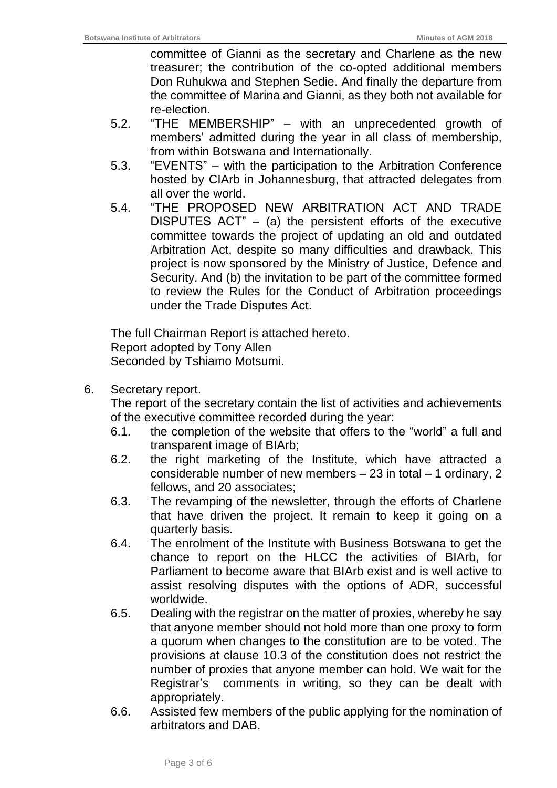committee of Gianni as the secretary and Charlene as the new treasurer; the contribution of the co-opted additional members Don Ruhukwa and Stephen Sedie. And finally the departure from the committee of Marina and Gianni, as they both not available for re-election.

- 5.2. "THE MEMBERSHIP" with an unprecedented growth of members' admitted during the year in all class of membership, from within Botswana and Internationally.
- 5.3. "EVENTS" with the participation to the Arbitration Conference hosted by CIArb in Johannesburg, that attracted delegates from all over the world.
- 5.4. "THE PROPOSED NEW ARBITRATION ACT AND TRADE DISPUTES ACT" – (a) the persistent efforts of the executive committee towards the project of updating an old and outdated Arbitration Act, despite so many difficulties and drawback. This project is now sponsored by the Ministry of Justice, Defence and Security. And (b) the invitation to be part of the committee formed to review the Rules for the Conduct of Arbitration proceedings under the Trade Disputes Act.

The full Chairman Report is attached hereto. Report adopted by Tony Allen Seconded by Tshiamo Motsumi.

6. Secretary report.

The report of the secretary contain the list of activities and achievements of the executive committee recorded during the year:

- 6.1. the completion of the website that offers to the "world" a full and transparent image of BIArb;
- 6.2. the right marketing of the Institute, which have attracted a considerable number of new members – 23 in total – 1 ordinary, 2 fellows, and 20 associates;
- 6.3. The revamping of the newsletter, through the efforts of Charlene that have driven the project. It remain to keep it going on a quarterly basis.
- 6.4. The enrolment of the Institute with Business Botswana to get the chance to report on the HLCC the activities of BIArb, for Parliament to become aware that BIArb exist and is well active to assist resolving disputes with the options of ADR, successful worldwide.
- 6.5. Dealing with the registrar on the matter of proxies, whereby he say that anyone member should not hold more than one proxy to form a quorum when changes to the constitution are to be voted. The provisions at clause 10.3 of the constitution does not restrict the number of proxies that anyone member can hold. We wait for the Registrar's comments in writing, so they can be dealt with appropriately.
- 6.6. Assisted few members of the public applying for the nomination of arbitrators and DAB.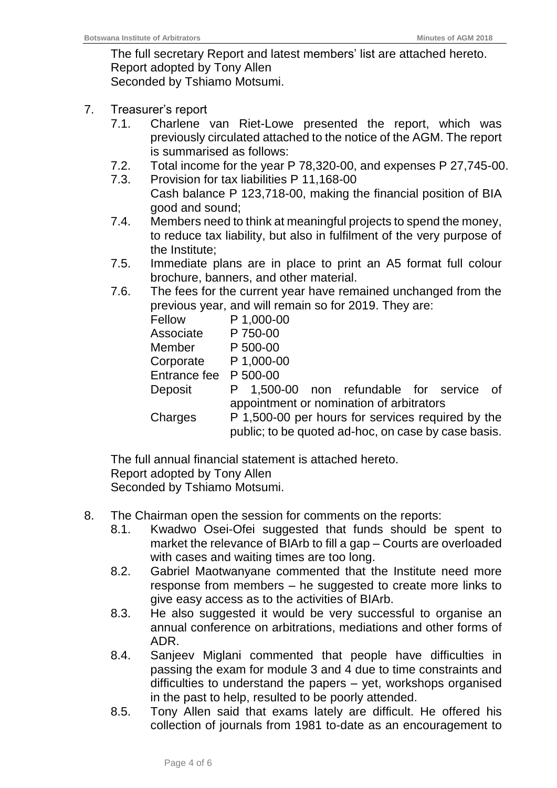The full secretary Report and latest members' list are attached hereto. Report adopted by Tony Allen Seconded by Tshiamo Motsumi.

- 7. Treasurer's report
	- 7.1. Charlene van Riet-Lowe presented the report, which was previously circulated attached to the notice of the AGM. The report is summarised as follows:
	- 7.2. Total income for the year P 78,320-00, and expenses P 27,745-00.
	- 7.3. Provision for tax liabilities P 11,168-00 Cash balance P 123,718-00, making the financial position of BIA good and sound;
	- 7.4. Members need to think at meaningful projects to spend the money, to reduce tax liability, but also in fulfilment of the very purpose of the Institute;
	- 7.5. Immediate plans are in place to print an A5 format full colour brochure, banners, and other material.
	- 7.6. The fees for the current year have remained unchanged from the previous year, and will remain so for 2019. They are:

| Fellow       |                                                     | P 1,000-00 |  |                                        |  |  |  |
|--------------|-----------------------------------------------------|------------|--|----------------------------------------|--|--|--|
| Associate    | P 750-00                                            |            |  |                                        |  |  |  |
| Member       | P 500-00                                            |            |  |                                        |  |  |  |
| Corporate    | P 1,000-00                                          |            |  |                                        |  |  |  |
| Entrance fee | P 500-00                                            |            |  |                                        |  |  |  |
| Deposit      |                                                     |            |  | 1,500-00 non refundable for service of |  |  |  |
|              | appointment or nomination of arbitrators            |            |  |                                        |  |  |  |
| Charges      | P 1,500-00 per hours for services required by the   |            |  |                                        |  |  |  |
|              | public; to be quoted ad-hoc, on case by case basis. |            |  |                                        |  |  |  |

The full annual financial statement is attached hereto. Report adopted by Tony Allen Seconded by Tshiamo Motsumi.

- 8. The Chairman open the session for comments on the reports:
	- 8.1. Kwadwo Osei-Ofei suggested that funds should be spent to market the relevance of BIArb to fill a gap – Courts are overloaded with cases and waiting times are too long.
	- 8.2. Gabriel Maotwanyane commented that the Institute need more response from members – he suggested to create more links to give easy access as to the activities of BIArb.
	- 8.3. He also suggested it would be very successful to organise an annual conference on arbitrations, mediations and other forms of ADR.
	- 8.4. Sanjeev Miglani commented that people have difficulties in passing the exam for module 3 and 4 due to time constraints and difficulties to understand the papers – yet, workshops organised in the past to help, resulted to be poorly attended.
	- 8.5. Tony Allen said that exams lately are difficult. He offered his collection of journals from 1981 to-date as an encouragement to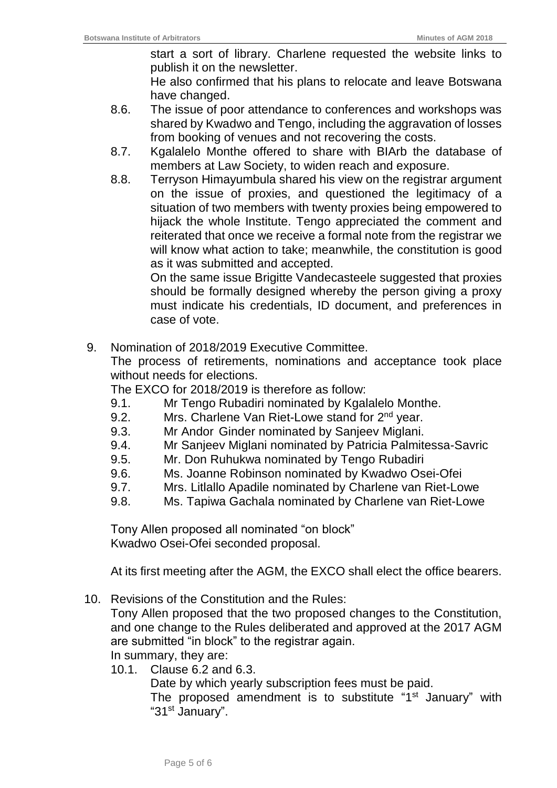start a sort of library. Charlene requested the website links to publish it on the newsletter.

He also confirmed that his plans to relocate and leave Botswana have changed.

- 8.6. The issue of poor attendance to conferences and workshops was shared by Kwadwo and Tengo, including the aggravation of losses from booking of venues and not recovering the costs.
- 8.7. Kgalalelo Monthe offered to share with BIArb the database of members at Law Society, to widen reach and exposure.
- 8.8. Terryson Himayumbula shared his view on the registrar argument on the issue of proxies, and questioned the legitimacy of a situation of two members with twenty proxies being empowered to hijack the whole Institute. Tengo appreciated the comment and reiterated that once we receive a formal note from the registrar we will know what action to take; meanwhile, the constitution is good as it was submitted and accepted.

On the same issue Brigitte Vandecasteele suggested that proxies should be formally designed whereby the person giving a proxy must indicate his credentials, ID document, and preferences in case of vote.

9. Nomination of 2018/2019 Executive Committee.

The process of retirements, nominations and acceptance took place without needs for elections.

The EXCO for 2018/2019 is therefore as follow:

- 9.1. Mr Tengo Rubadiri nominated by Kgalalelo Monthe.
- 9.2. Mrs. Charlene Van Riet-Lowe stand for 2<sup>nd</sup> year.
- 9.3. Mr Andor Ginder nominated by Sanjeev Miglani.
- 9.4. Mr Sanjeev Miglani nominated by Patricia Palmitessa-Savric
- 9.5. Mr. Don Ruhukwa nominated by Tengo Rubadiri
- 9.6. Ms. Joanne Robinson nominated by Kwadwo Osei-Ofei
- 9.7. Mrs. Litlallo Apadile nominated by Charlene van Riet-Lowe
- 9.8. Ms. Tapiwa Gachala nominated by Charlene van Riet-Lowe

Tony Allen proposed all nominated "on block" Kwadwo Osei-Ofei seconded proposal.

At its first meeting after the AGM, the EXCO shall elect the office bearers.

10. Revisions of the Constitution and the Rules:

Tony Allen proposed that the two proposed changes to the Constitution, and one change to the Rules deliberated and approved at the 2017 AGM are submitted "in block" to the registrar again.

In summary, they are:

10.1. Clause 6.2 and 6.3.

Date by which yearly subscription fees must be paid.

The proposed amendment is to substitute "1<sup>st</sup> January" with "31<sup>st</sup> January".